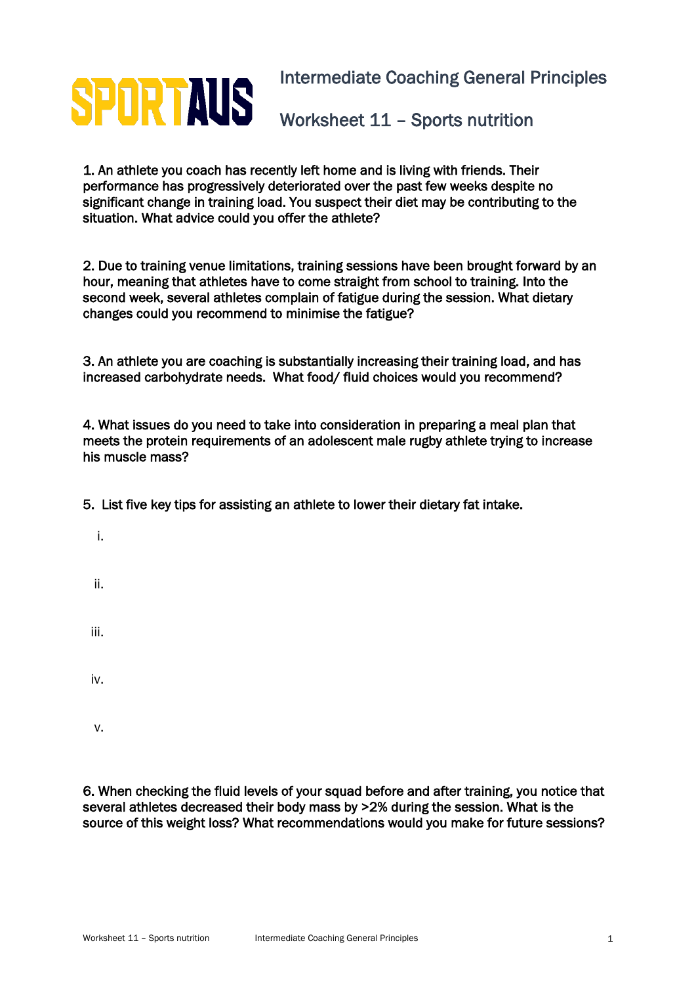## **SPORTAUS** Intermediate Coaching General Principles Worksheet 11 – Sports nutrition

1. An athlete you coach has recently left home and is living with friends. Their performance has progressively deteriorated over the past few weeks despite no significant change in training load. You suspect their diet may be contributing to the situation. What advice could you offer the athlete?

2. Due to training venue limitations, training sessions have been brought forward by an hour, meaning that athletes have to come straight from school to training. Into the second week, several athletes complain of fatigue during the session. What dietary changes could you recommend to minimise the fatigue?

3. An athlete you are coaching is substantially increasing their training load, and has increased carbohydrate needs. What food/ fluid choices would you recommend?

4. What issues do you need to take into consideration in preparing a meal plan that meets the protein requirements of an adolescent male rugby athlete trying to increase his muscle mass?

5. List five key tips for assisting an athlete to lower their dietary fat intake.

- i.
- ii.

iii.

iv.

v.

6. When checking the fluid levels of your squad before and after training, you notice that several athletes decreased their body mass by >2% during the session. What is the source of this weight loss? What recommendations would you make for future sessions?